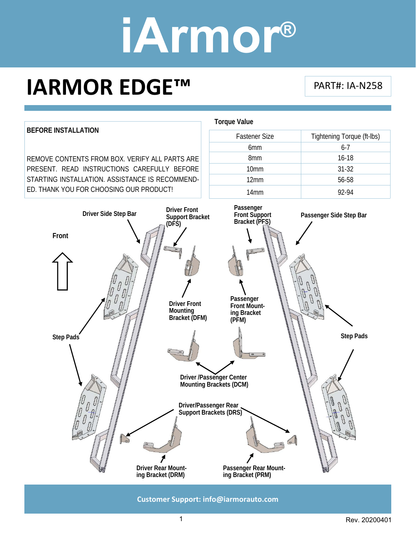### **IARMOR EDGE™**

PART#: IA‐N258

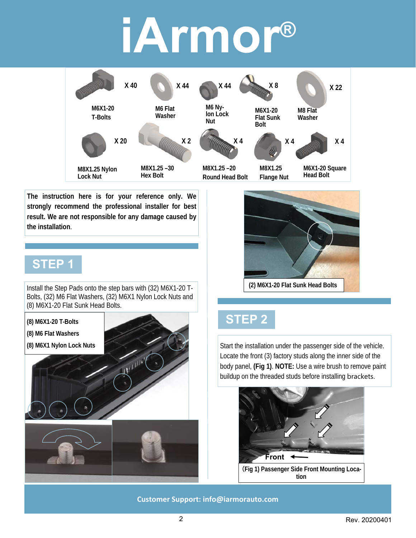

**The instruction here is for your reference only. We strongly recommend the professional installer for best result. We are not responsible for any damage caused by the installation**.

#### **STEP 1**

Install the Step Pads onto the step bars with (32) M6X1-20 T-Bolts, (32) M6 Flat Washers, (32) M6X1 Nylon Lock Nuts and (8) M6X1-20 Flat Sunk Head Bolts.

**(8) M6X1-20 T-Bolts** 

**(8) M6 Flat Washers** 

**(8) M6X1 Nylon Lock Nuts** 







#### **STEP 2**

Start the installation under the passenger side of the vehicle. Locate the front (3) factory studs along the inner side of the body panel, **(Fig 1)**. **NOTE:** Use a wire brush to remove paint buildup on the threaded studs before installing brackets.

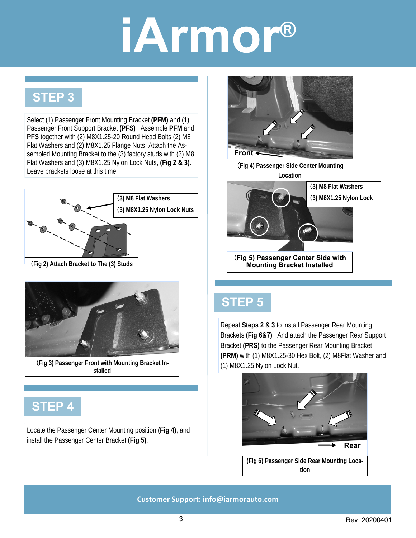#### **STEP 3**

Select (1) Passenger Front Mounting Bracket **(PFM)** and (1) Passenger Front Support Bracket **(PFS)** , Assemble **PFM** and **PFS** together with (2) M8X1.25-20 Round Head Bolts (2) M8 Flat Washers and (2) M8X1.25 Flange Nuts. Attach the Assembled Mounting Bracket to the (3) factory studs with (3) M8 Flat Washers and (3) M8X1.25 Nylon Lock Nuts, **(Fig 2 & 3)**. Leave brackets loose at this time.





(**Fig 3) Passenger Front with Mounting Bracket Installed** 

### **STEP 4**

Locate the Passenger Center Mounting position **(Fig 4)**, and install the Passenger Center Bracket **(Fig 5)**.



#### **STEP 5**

Repeat **Steps 2 & 3** to install Passenger Rear Mounting Brackets **(Fig 6&7)**. And attach the Passenger Rear Support Bracket **(PRS)** to the Passenger Rear Mounting Bracket **(PRM)** with (1) M8X1.25-30 Hex Bolt, (2) M8Flat Washer and (1) M8X1.25 Nylon Lock Nut.



**(Fig 6) Passenger Side Rear Mounting Location**